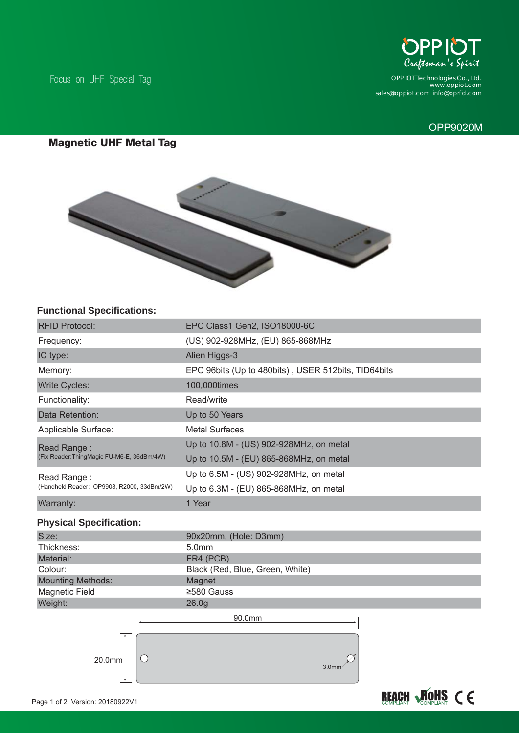Focus on UHF Special Tag



*www.oppiot.com sales@oppiot.com info@oprfi d.com OPP IOT Technologies Co., Ltd.*

# OPP9020M

## **Magnetic UHF Metal Tag**



## **Functional Specifications:**

| <b>RFID Protocol:</b>                                                                                  | EPC Class1 Gen2, ISO18000-6C                        |
|--------------------------------------------------------------------------------------------------------|-----------------------------------------------------|
| Frequency:                                                                                             | (US) 902-928MHz, (EU) 865-868MHz                    |
| IC type:                                                                                               | Alien Higgs-3                                       |
| Memory:                                                                                                | EPC 96bits (Up to 480bits), USER 512bits, TID64bits |
| <b>Write Cycles:</b>                                                                                   | 100,000times                                        |
| Functionality:                                                                                         | Read/write                                          |
| Data Retention:                                                                                        | Up to 50 Years                                      |
| Applicable Surface:                                                                                    | <b>Metal Surfaces</b>                               |
| Read Range:                                                                                            | Up to 10.8M - (US) 902-928MHz, on metal             |
| (Fix Reader:ThingMagic FU-M6-E, 36dBm/4W)<br>Read Range:<br>(Handheld Reader: OP9908, R2000, 33dBm/2W) | Up to 10.5M - (EU) 865-868MHz, on metal             |
|                                                                                                        | Up to 6.5M - (US) 902-928MHz, on metal              |
|                                                                                                        | Up to 6.3M - (EU) 865-868MHz, on metal              |
| Warranty:                                                                                              | 1 Year                                              |
| <b>Physical Specification:</b>                                                                         |                                                     |
| Size:                                                                                                  | 90x20mm, (Hole: D3mm)                               |
| Thickness:                                                                                             | 5.0mm                                               |
| Material:                                                                                              | FR4 (PCB)                                           |
| Colour:                                                                                                | Black (Red, Blue, Green, White)                     |
| <b>Mounting Methods:</b>                                                                               | Magnet                                              |
| <b>Magnetic Field</b>                                                                                  | ≥580 Gauss                                          |
| Weight:                                                                                                | 26.0 <sub>g</sub>                                   |
|                                                                                                        | 90.0mm                                              |
|                                                                                                        |                                                     |
|                                                                                                        |                                                     |
|                                                                                                        |                                                     |
| 20.0mm                                                                                                 | 3.0 <sub>mm</sub>                                   |
|                                                                                                        |                                                     |
|                                                                                                        |                                                     |
| Page 1 of 2 Version: 20180922V1                                                                        |                                                     |